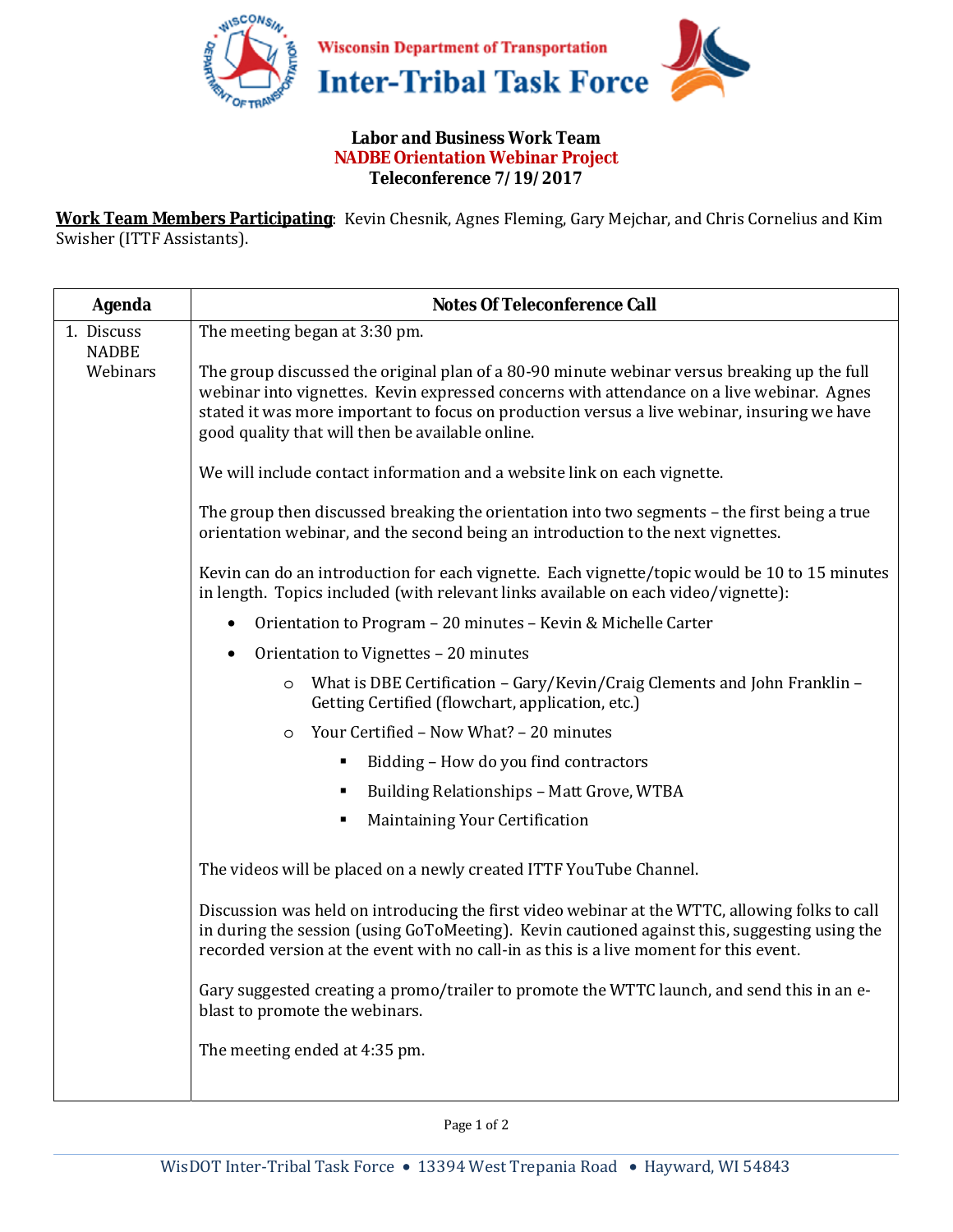

## **Labor and Business Work Team NADBE Orientation Webinar Project Teleconference 7/19/2017**

**Work Team Members Participating**: Kevin Chesnik, Agnes Fleming, Gary Mejchar, and Chris Cornelius and Kim Swisher (ITTF Assistants).

| <b>Agenda</b>              | <b>Notes Of Teleconference Call</b>                                                                                                                                                                                                                                                                                                         |
|----------------------------|---------------------------------------------------------------------------------------------------------------------------------------------------------------------------------------------------------------------------------------------------------------------------------------------------------------------------------------------|
| 1. Discuss<br><b>NADBE</b> | The meeting began at 3:30 pm.                                                                                                                                                                                                                                                                                                               |
| Webinars                   | The group discussed the original plan of a 80-90 minute webinar versus breaking up the full<br>webinar into vignettes. Kevin expressed concerns with attendance on a live webinar. Agnes<br>stated it was more important to focus on production versus a live webinar, insuring we have<br>good quality that will then be available online. |
|                            | We will include contact information and a website link on each vignette.                                                                                                                                                                                                                                                                    |
|                            | The group then discussed breaking the orientation into two segments - the first being a true<br>orientation webinar, and the second being an introduction to the next vignettes.                                                                                                                                                            |
|                            | Kevin can do an introduction for each vignette. Each vignette/topic would be 10 to 15 minutes<br>in length. Topics included (with relevant links available on each video/vignette):                                                                                                                                                         |
|                            | Orientation to Program - 20 minutes - Kevin & Michelle Carter                                                                                                                                                                                                                                                                               |
|                            | Orientation to Vignettes - 20 minutes                                                                                                                                                                                                                                                                                                       |
|                            | What is DBE Certification - Gary/Kevin/Craig Clements and John Franklin -<br>$\circ$<br>Getting Certified (flowchart, application, etc.)                                                                                                                                                                                                    |
|                            | Your Certified - Now What? - 20 minutes<br>$\circ$                                                                                                                                                                                                                                                                                          |
|                            | Bidding - How do you find contractors<br>٠                                                                                                                                                                                                                                                                                                  |
|                            | Building Relationships - Matt Grove, WTBA<br>٠                                                                                                                                                                                                                                                                                              |
|                            | Maintaining Your Certification<br>Ξ                                                                                                                                                                                                                                                                                                         |
|                            | The videos will be placed on a newly created ITTF YouTube Channel.                                                                                                                                                                                                                                                                          |
|                            | Discussion was held on introducing the first video webinar at the WTTC, allowing folks to call<br>in during the session (using GoToMeeting). Kevin cautioned against this, suggesting using the<br>recorded version at the event with no call-in as this is a live moment for this event.                                                   |
|                            | Gary suggested creating a promo/trailer to promote the WTTC launch, and send this in an e-<br>blast to promote the webinars.                                                                                                                                                                                                                |
|                            | The meeting ended at 4:35 pm.                                                                                                                                                                                                                                                                                                               |